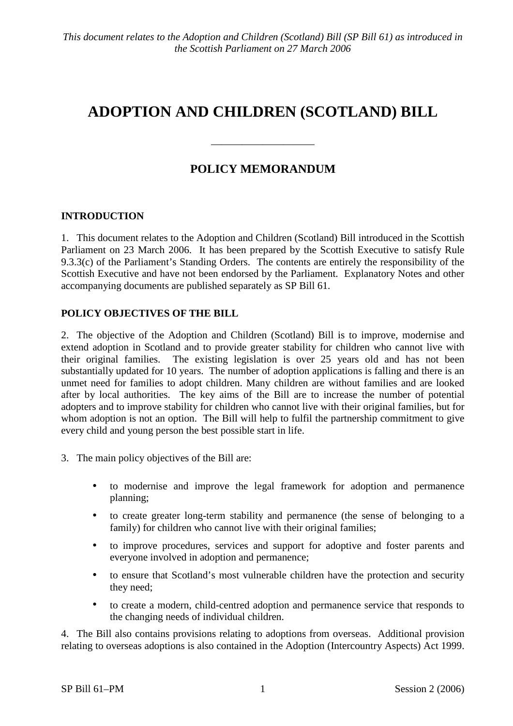# ADOPTION AND CHILDREN (SCOTLAND) BILL

## **POLICY MEMORANDUM**

### **INTRODUCTION**

1. This document relates to the Adoption and Children (Scotland) Bill introduced in the Scottish Parliament on 23 March 2006. It has been prepared by the Scottish Executive to satisfy Rule  $9.3.3(c)$  of the Parliament's Standing Orders. The contents are entirely the responsibility of the Scottish Executive and have not been endorsed by the Parliament. Explanatory Notes and other accompanying documents are published separately as SP Bill 61.

#### POLICY OBJECTIVES OF THE BILL

2. The objective of the Adoption and Children (Scotland) Bill is to improve, modernise and extend adoption in Scotland and to provide greater stability for children who cannot live with their original families. The existing legislation is over 25 years old and has not been substantially updated for 10 years. The number of adoption applications is falling and there is an unmet need for families to adopt children. Many children are without families and are looked after by local authorities. The key aims of the Bill are to increase the number of potential adopters and to improve stability for children who cannot live with their original families, but for whom adoption is not an option. The Bill will help to fulfil the partnership commitment to give every child and young person the best possible start in life.

- 3. The main policy objectives of the Bill are:
	- to modernise and improve the legal framework for adoption and permanence  $\bullet$ planning;
	- to create greater long-term stability and permanence (the sense of belonging to a  $\bullet$  . family) for children who cannot live with their original families;
	- to improve procedures, services and support for adoptive and foster parents and  $\bullet$ everyone involved in adoption and permanence:
	- to ensure that Scotland's most vulnerable children have the protection and security  $\bullet$ they need;
	- to create a modern, child-centred adoption and permanence service that responds to the changing needs of individual children.

4. The Bill also contains provisions relating to adoptions from overseas. Additional provision relating to overseas adoptions is also contained in the Adoption (Intercountry Aspects) Act 1999.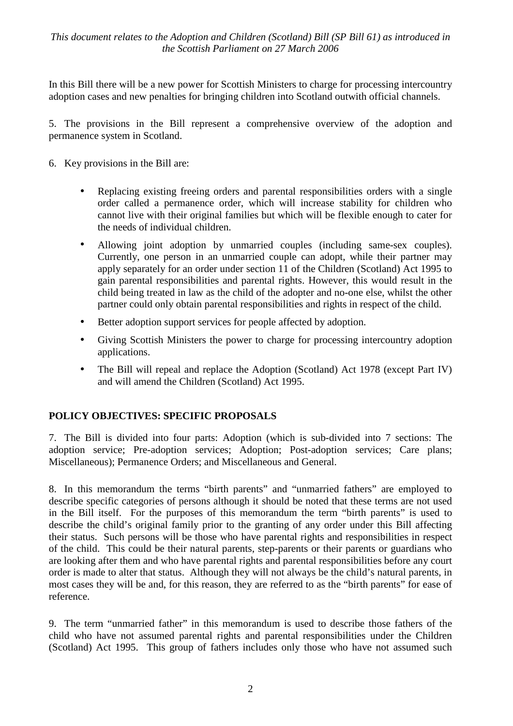In this Bill there will be a new power for Scottish Ministers to charge for processing intercountry adoption cases and new penalties for bringing children into Scotland outwith official channels.

5. The provisions in the Bill represent a comprehensive overview of the adoption and permanence system in Scotland.

- 6. Key provisions in the Bill are:
	- Replacing existing freeing orders and parental responsibilities orders with a single order called a permanence order, which will increase stability for children who cannot live with their original families but which will be flexible enough to cater for the needs of individual children.
	- Allowing joint adoption by unmarried couples (including same-sex couples). Currently, one person in an unmarried couple can adopt, while their partner may apply separately for an order under section 11 of the Children (Scotland) Act 1995 to gain parental responsibilities and parental rights. However, this would result in the child being treated in law as the child of the adopter and no-one else, whilst the other partner could only obtain parental responsibilities and rights in respect of the child.
	- Better adoption support services for people affected by adoption.
	- Giving Scottish Ministers the power to charge for processing intercountry adoption applications.
	- The Bill will repeal and replace the Adoption (Scotland) Act 1978 (except Part IV) and will amend the Children (Scotland) Act 1995.

#### POLICY OBJECTIVES: SPECIFIC PROPOSALS

7. The Bill is divided into four parts: Adoption (which is sub-divided into 7 sections: The adoption service; Pre-adoption services; Adoption; Post-adoption services; Care plans; Miscellaneous); Permanence Orders; and Miscellaneous and General.

8. In this memorandum the terms "birth parents" and "unmarried fathers" are employed to describe specific categories of persons although it should be noted that these terms are not used in the Bill itself. For the purposes of this memorandum the term "birth parents" is used to describe the child's original family prior to the granting of any order under this Bill affecting their status. Such persons will be those who have parental rights and responsibilities in respect of the child. This could be their natural parents, step-parents or their parents or guardians who are looking after them and who have parental rights and parental responsibilities before any court order is made to alter that status. Although they will not always be the child's natural parents, in most cases they will be and, for this reason, they are referred to as the "birth parents" for ease of reference.

9. The term "unmarried father" in this memorandum is used to describe those fathers of the child who have not assumed parental rights and parental responsibilities under the Children (Scotland) Act 1995. This group of fathers includes only those who have not assumed such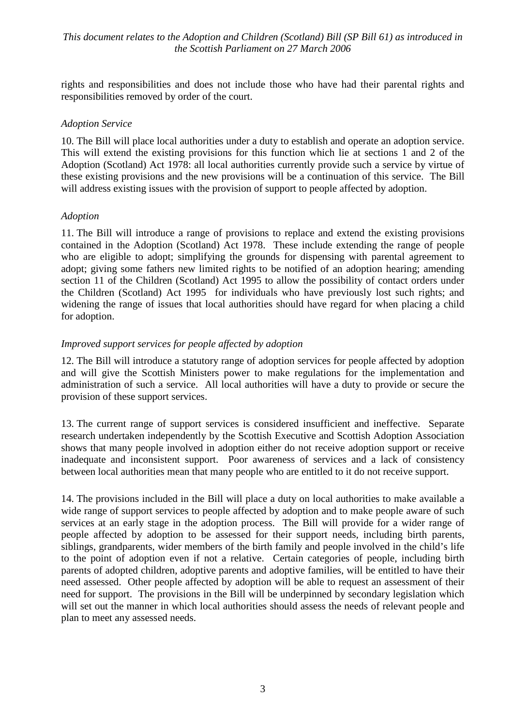rights and responsibilities and does not include those who have had their parental rights and responsibilities removed by order of the court.

#### **Adoption Service**

10. The Bill will place local authorities under a duty to establish and operate an adoption service. This will extend the existing provisions for this function which lie at sections 1 and 2 of the Adoption (Scotland) Act 1978: all local authorities currently provide such a service by virtue of these existing provisions and the new provisions will be a continuation of this service. The Bill will address existing issues with the provision of support to people affected by adoption.

#### Adoption

11. The Bill will introduce a range of provisions to replace and extend the existing provisions contained in the Adoption (Scotland) Act 1978. These include extending the range of people who are eligible to adopt; simplifying the grounds for dispensing with parental agreement to adopt; giving some fathers new limited rights to be notified of an adoption hearing; amending section 11 of the Children (Scotland) Act 1995 to allow the possibility of contact orders under the Children (Scotland) Act 1995 for individuals who have previously lost such rights; and widening the range of issues that local authorities should have regard for when placing a child for adoption.

#### Improved support services for people affected by adoption

12. The Bill will introduce a statutory range of adoption services for people affected by adoption and will give the Scottish Ministers power to make regulations for the implementation and administration of such a service. All local authorities will have a duty to provide or secure the provision of these support services.

13. The current range of support services is considered insufficient and ineffective. Separate research undertaken independently by the Scottish Executive and Scottish Adoption Association shows that many people involved in adoption either do not receive adoption support or receive inadequate and inconsistent support. Poor awareness of services and a lack of consistency between local authorities mean that many people who are entitled to it do not receive support.

14. The provisions included in the Bill will place a duty on local authorities to make available a wide range of support services to people affected by adoption and to make people aware of such services at an early stage in the adoption process. The Bill will provide for a wider range of people affected by adoption to be assessed for their support needs, including birth parents, siblings, grandparents, wider members of the birth family and people involved in the child's life to the point of adoption even if not a relative. Certain categories of people, including birth parents of adopted children, adoptive parents and adoptive families, will be entitled to have their need assessed. Other people affected by adoption will be able to request an assessment of their need for support. The provisions in the Bill will be underpinned by secondary legislation which will set out the manner in which local authorities should assess the needs of relevant people and plan to meet any assessed needs.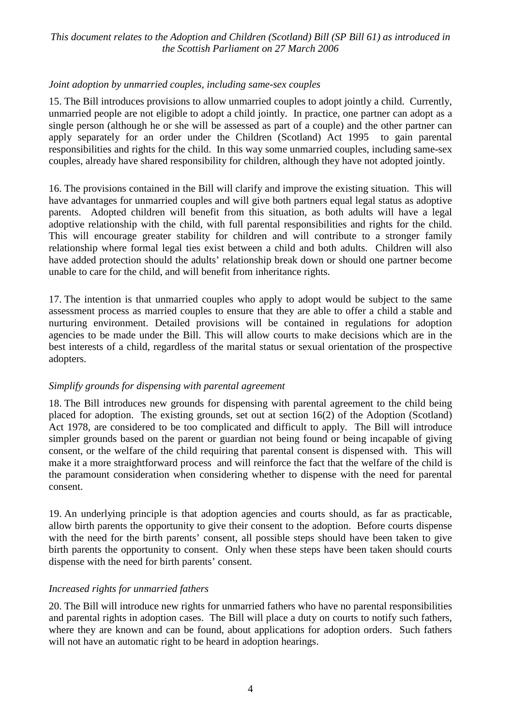#### Joint adoption by unmarried couples, including same-sex couples

15. The Bill introduces provisions to allow unmarried couples to adopt jointly a child. Currently, unmarried people are not eligible to adopt a child jointly. In practice, one partner can adopt as a single person (although he or she will be assessed as part of a couple) and the other partner can apply separately for an order under the Children (Scotland) Act 1995 to gain parental responsibilities and rights for the child. In this way some unmarried couples, including same-sex couples, already have shared responsibility for children, although they have not adopted jointly.

16. The provisions contained in the Bill will clarify and improve the existing situation. This will have advantages for unmarried couples and will give both partners equal legal status as adoptive parents. Adopted children will benefit from this situation, as both adults will have a legal adoptive relationship with the child, with full parental responsibilities and rights for the child. This will encourage greater stability for children and will contribute to a stronger family relationship where formal legal ties exist between a child and both adults. Children will also have added protection should the adults' relationship break down or should one partner become unable to care for the child, and will benefit from inheritance rights.

17. The intention is that unmarried couples who apply to adopt would be subject to the same assessment process as married couples to ensure that they are able to offer a child a stable and nurturing environment. Detailed provisions will be contained in regulations for adoption agencies to be made under the Bill. This will allow courts to make decisions which are in the best interests of a child, regardless of the marital status or sexual orientation of the prospective adopters.

#### Simplify grounds for dispensing with parental agreement

18. The Bill introduces new grounds for dispensing with parental agreement to the child being placed for adoption. The existing grounds, set out at section  $16(2)$  of the Adoption (Scotland) Act 1978, are considered to be too complicated and difficult to apply. The Bill will introduce simpler grounds based on the parent or guardian not being found or being incapable of giving consent, or the welfare of the child requiring that parental consent is dispensed with. This will make it a more straightforward process and will reinforce the fact that the welfare of the child is the paramount consideration when considering whether to dispense with the need for parental consent.

19. An underlying principle is that adoption agencies and courts should, as far as practicable, allow birth parents the opportunity to give their consent to the adoption. Before courts dispense with the need for the birth parents' consent, all possible steps should have been taken to give birth parents the opportunity to consent. Only when these steps have been taken should courts dispense with the need for birth parents' consent.

#### Increased rights for unmarried fathers

20. The Bill will introduce new rights for unmarried fathers who have no parental responsibilities and parental rights in adoption cases. The Bill will place a duty on courts to notify such fathers, where they are known and can be found, about applications for adoption orders. Such fathers will not have an automatic right to be heard in adoption hearings.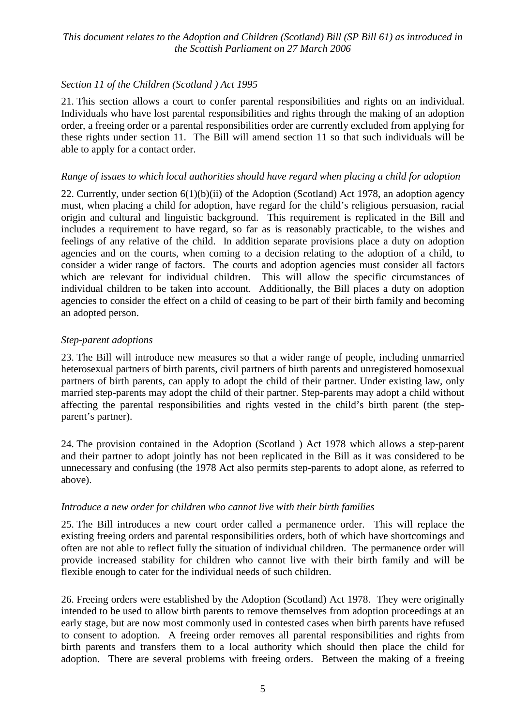### Section 11 of the Children (Scotland) Act 1995

21. This section allows a court to confer parental responsibilities and rights on an individual. Individuals who have lost parental responsibilities and rights through the making of an adoption order, a freeing order or a parental responsibilities order are currently excluded from applying for these rights under section 11. The Bill will amend section 11 so that such individuals will be able to apply for a contact order.

#### Range of issues to which local authorities should have regard when placing a child for adoption

22. Currently, under section  $6(1)(b)(ii)$  of the Adoption (Scotland) Act 1978, an adoption agency must, when placing a child for adoption, have regard for the child's religious persuasion, racial origin and cultural and linguistic background. This requirement is replicated in the Bill and includes a requirement to have regard, so far as is reasonably practicable, to the wishes and feelings of any relative of the child. In addition separate provisions place a duty on adoption agencies and on the courts, when coming to a decision relating to the adoption of a child, to consider a wider range of factors. The courts and adoption agencies must consider all factors which are relevant for individual children. This will allow the specific circumstances of individual children to be taken into account. Additionally, the Bill places a duty on adoption agencies to consider the effect on a child of ceasing to be part of their birth family and becoming an adopted person.

#### Step-parent adoptions

23. The Bill will introduce new measures so that a wider range of people, including unmarried heterosexual partners of birth parents, civil partners of birth parents and unregistered homosexual partners of birth parents, can apply to adopt the child of their partner. Under existing law, only married step-parents may adopt the child of their partner. Step-parents may adopt a child without affecting the parental responsibilities and rights vested in the child's birth parent (the stepparent's partner).

24. The provision contained in the Adoption (Scotland) Act 1978 which allows a step-parent and their partner to adopt jointly has not been replicated in the Bill as it was considered to be unnecessary and confusing (the 1978 Act also permits step-parents to adopt alone, as referred to above).

#### Introduce a new order for children who cannot live with their birth families

25. The Bill introduces a new court order called a permanence order. This will replace the existing freeing orders and parental responsibilities orders, both of which have shortcomings and often are not able to reflect fully the situation of individual children. The permanence order will provide increased stability for children who cannot live with their birth family and will be flexible enough to cater for the individual needs of such children.

26. Freeing orders were established by the Adoption (Scotland) Act 1978. They were originally intended to be used to allow birth parents to remove themselves from adoption proceedings at an early stage, but are now most commonly used in contested cases when birth parents have refused to consent to adoption. A freeing order removes all parental responsibilities and rights from birth parents and transfers them to a local authority which should then place the child for adoption. There are several problems with freeing orders. Between the making of a freeing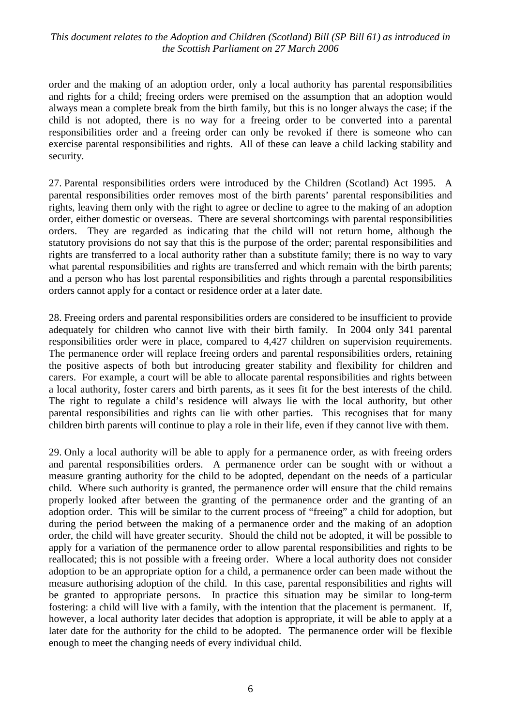order and the making of an adoption order, only a local authority has parental responsibilities and rights for a child; freeing orders were premised on the assumption that an adoption would always mean a complete break from the birth family, but this is no longer always the case; if the child is not adopted, there is no way for a freeing order to be converted into a parental responsibilities order and a freeing order can only be revoked if there is someone who can exercise parental responsibilities and rights. All of these can leave a child lacking stability and security.

27. Parental responsibilities orders were introduced by the Children (Scotland) Act 1995. A parental responsibilities order removes most of the birth parents' parental responsibilities and rights, leaving them only with the right to agree or decline to agree to the making of an adoption order, either domestic or overseas. There are several shortcomings with parental responsibilities orders. They are regarded as indicating that the child will not return home, although the statutory provisions do not say that this is the purpose of the order; parental responsibilities and rights are transferred to a local authority rather than a substitute family; there is no way to vary what parental responsibilities and rights are transferred and which remain with the birth parents; and a person who has lost parental responsibilities and rights through a parental responsibilities orders cannot apply for a contact or residence order at a later date.

28. Freeing orders and parental responsibilities orders are considered to be insufficient to provide adequately for children who cannot live with their birth family. In 2004 only 341 parental responsibilities order were in place, compared to 4,427 children on supervision requirements. The permanence order will replace freeing orders and parental responsibilities orders, retaining the positive aspects of both but introducing greater stability and flexibility for children and carers. For example, a court will be able to allocate parental responsibilities and rights between a local authority, foster carers and birth parents, as it sees fit for the best interests of the child. The right to regulate a child's residence will always lie with the local authority, but other parental responsibilities and rights can lie with other parties. This recognises that for many children birth parents will continue to play a role in their life, even if they cannot live with them.

29. Only a local authority will be able to apply for a permanence order, as with freeing orders and parental responsibilities orders. A permanence order can be sought with or without a measure granting authority for the child to be adopted, dependant on the needs of a particular child. Where such authority is granted, the permanence order will ensure that the child remains properly looked after between the granting of the permanence order and the granting of an adoption order. This will be similar to the current process of "freeing" a child for adoption, but during the period between the making of a permanence order and the making of an adoption order, the child will have greater security. Should the child not be adopted, it will be possible to apply for a variation of the permanence order to allow parental responsibilities and rights to be reallocated; this is not possible with a freeing order. Where a local authority does not consider adoption to be an appropriate option for a child, a permanence order can been made without the measure authorising adoption of the child. In this case, parental responsibilities and rights will be granted to appropriate persons. In practice this situation may be similar to long-term fostering: a child will live with a family, with the intention that the placement is permanent. If, however, a local authority later decides that adoption is appropriate, it will be able to apply at a later date for the authority for the child to be adopted. The permanence order will be flexible enough to meet the changing needs of every individual child.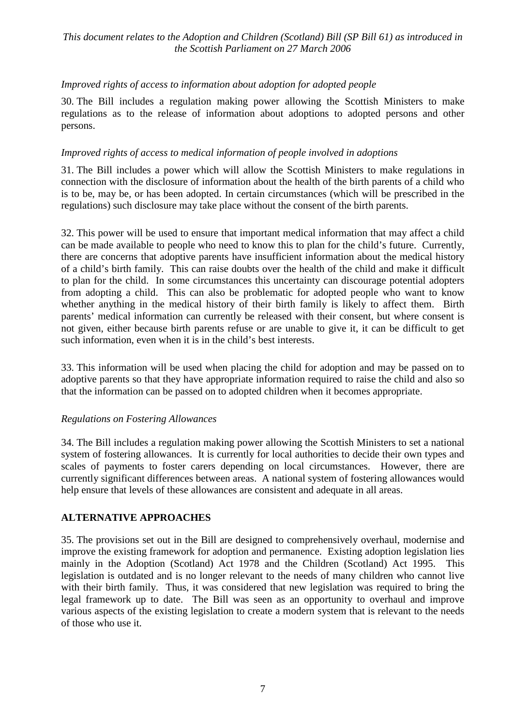### Improved rights of access to information about adoption for adopted people

30. The Bill includes a regulation making power allowing the Scottish Ministers to make regulations as to the release of information about adoptions to adopted persons and other persons.

#### Improved rights of access to medical information of people involved in adoptions

31. The Bill includes a power which will allow the Scottish Ministers to make regulations in connection with the disclosure of information about the health of the birth parents of a child who is to be, may be, or has been adopted. In certain circumstances (which will be prescribed in the regulations) such disclosure may take place without the consent of the birth parents.

32. This power will be used to ensure that important medical information that may affect a child can be made available to people who need to know this to plan for the child's future. Currently, there are concerns that adoptive parents have insufficient information about the medical history of a child's birth family. This can raise doubts over the health of the child and make it difficult to plan for the child. In some circumstances this uncertainty can discourage potential adopters from adopting a child. This can also be problematic for adopted people who want to know whether anything in the medical history of their birth family is likely to affect them. Birth parents' medical information can currently be released with their consent, but where consent is not given, either because birth parents refuse or are unable to give it, it can be difficult to get such information, even when it is in the child's best interests.

33. This information will be used when placing the child for adoption and may be passed on to adoptive parents so that they have appropriate information required to raise the child and also so that the information can be passed on to adopted children when it becomes appropriate.

#### **Regulations on Fostering Allowances**

34. The Bill includes a regulation making power allowing the Scottish Ministers to set a national system of fostering allowances. It is currently for local authorities to decide their own types and scales of payments to foster carers depending on local circumstances. However, there are currently significant differences between areas. A national system of fostering allowances would help ensure that levels of these allowances are consistent and adequate in all areas.

#### **ALTERNATIVE APPROACHES**

35. The provisions set out in the Bill are designed to comprehensively overhaul, modernise and improve the existing framework for adoption and permanence. Existing adoption legislation lies mainly in the Adoption (Scotland) Act 1978 and the Children (Scotland) Act 1995. This legislation is outdated and is no longer relevant to the needs of many children who cannot live with their birth family. Thus, it was considered that new legislation was required to bring the legal framework up to date. The Bill was seen as an opportunity to overhaul and improve various aspects of the existing legislation to create a modern system that is relevant to the needs of those who use it.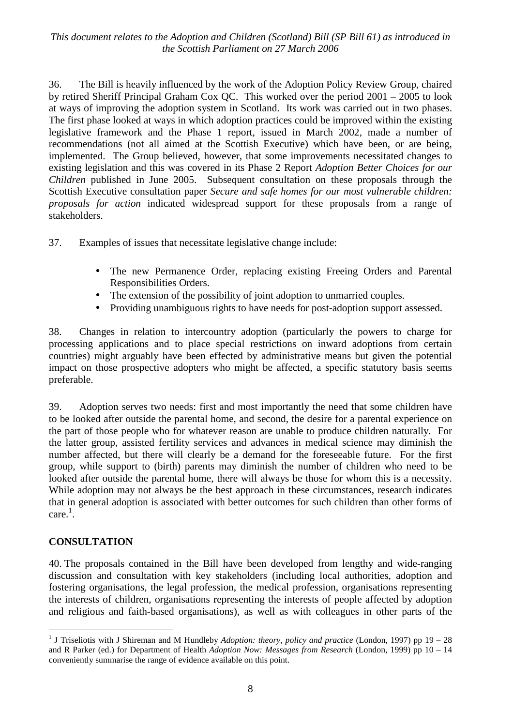36. The Bill is heavily influenced by the work of the Adoption Policy Review Group, chaired by retired Sheriff Principal Graham Cox QC. This worked over the period  $2001 - 2005$  to look at ways of improving the adoption system in Scotland. Its work was carried out in two phases. The first phase looked at ways in which adoption practices could be improved within the existing legislative framework and the Phase 1 report, issued in March 2002, made a number of recommendations (not all aimed at the Scottish Executive) which have been, or are being, implemented. The Group believed, however, that some improvements necessitated changes to existing legislation and this was covered in its Phase 2 Report Adoption Better Choices for our *Children* published in June 2005. Subsequent consultation on these proposals through the Scottish Executive consultation paper Secure and safe homes for our most vulnerable children: *proposals for action* indicated widespread support for these proposals from a range of stakeholders.

37. Examples of issues that necessitate legislative change include:

- The new Permanence Order, replacing existing Freeing Orders and Parental Responsibilities Orders.
- The extension of the possibility of joint adoption to unmarried couples.
- Providing unambiguous rights to have needs for post-adoption support assessed.

Changes in relation to intercountry adoption (particularly the powers to charge for 38. processing applications and to place special restrictions on inward adoptions from certain countries) might arguably have been effected by administrative means but given the potential impact on those prospective adopters who might be affected, a specific statutory basis seems preferable.

39. Adoption serves two needs: first and most importantly the need that some children have to be looked after outside the parental home, and second, the desire for a parental experience on the part of those people who for whatever reason are unable to produce children naturally. For the latter group, assisted fertility services and advances in medical science may diminish the number affected, but there will clearly be a demand for the foreseeable future. For the first group, while support to (birth) parents may diminish the number of children who need to be looked after outside the parental home, there will always be those for whom this is a necessity. While adoption may not always be the best approach in these circumstances, research indicates that in general adoption is associated with better outcomes for such children than other forms of care.<sup>1</sup>.

#### **CONSULTATION**

40. The proposals contained in the Bill have been developed from lengthy and wide-ranging discussion and consultation with key stakeholders (including local authorities, adoption and fostering organisations, the legal profession, the medical profession, organisations representing the interests of children, organisations representing the interests of people affected by adoption and religious and faith-based organisations), as well as with colleagues in other parts of the

<sup>&</sup>lt;sup>1</sup> J Triseliotis with J Shireman and M Hundleby Adoption: theory, policy and practice (London, 1997) pp 19 – 28 and R Parker (ed.) for Department of Health Adoption Now: Messages from Research (London, 1999) pp  $10 - 14$ conveniently summarise the range of evidence available on this point.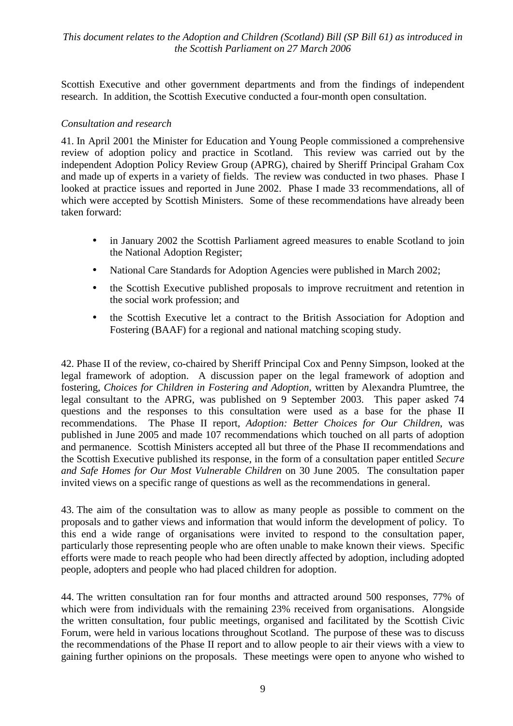Scottish Executive and other government departments and from the findings of independent research. In addition, the Scottish Executive conducted a four-month open consultation.

#### Consultation and research

41. In April 2001 the Minister for Education and Young People commissioned a comprehensive review of adoption policy and practice in Scotland. This review was carried out by the independent Adoption Policy Review Group (APRG), chaired by Sheriff Principal Graham Cox and made up of experts in a variety of fields. The review was conducted in two phases. Phase I looked at practice issues and reported in June 2002. Phase I made 33 recommendations, all of which were accepted by Scottish Ministers. Some of these recommendations have already been taken forward:

- in January 2002 the Scottish Parliament agreed measures to enable Scotland to join  $\bullet$ the National Adoption Register;
- National Care Standards for Adoption Agencies were published in March 2002:  $\bullet$
- the Scottish Executive published proposals to improve recruitment and retention in  $\bullet$ the social work profession; and
- the Scottish Executive let a contract to the British Association for Adoption and  $\bullet$ Fostering (BAAF) for a regional and national matching scoping study.

42. Phase II of the review, co-chaired by Sheriff Principal Cox and Penny Simpson, looked at the legal framework of adoption. A discussion paper on the legal framework of adoption and fostering, *Choices for Children in Fostering and Adoption*, written by Alexandra Plumtree, the legal consultant to the APRG, was published on 9 September 2003. This paper asked 74 questions and the responses to this consultation were used as a base for the phase II recommendations. The Phase II report, Adoption: Better Choices for Our Children, was published in June 2005 and made 107 recommendations which touched on all parts of adoption and permanence. Scottish Ministers accepted all but three of the Phase II recommendations and the Scottish Executive published its response, in the form of a consultation paper entitled Secure and Safe Homes for Our Most Vulnerable Children on 30 June 2005. The consultation paper invited views on a specific range of questions as well as the recommendations in general.

43. The aim of the consultation was to allow as many people as possible to comment on the proposals and to gather views and information that would inform the development of policy. To this end a wide range of organisations were invited to respond to the consultation paper, particularly those representing people who are often unable to make known their views. Specific efforts were made to reach people who had been directly affected by adoption, including adopted people, adopters and people who had placed children for adoption.

44. The written consultation ran for four months and attracted around 500 responses, 77% of which were from individuals with the remaining 23% received from organisations. Alongside the written consultation, four public meetings, organised and facilitated by the Scottish Civic Forum, were held in various locations throughout Scotland. The purpose of these was to discuss the recommendations of the Phase II report and to allow people to air their views with a view to gaining further opinions on the proposals. These meetings were open to anyone who wished to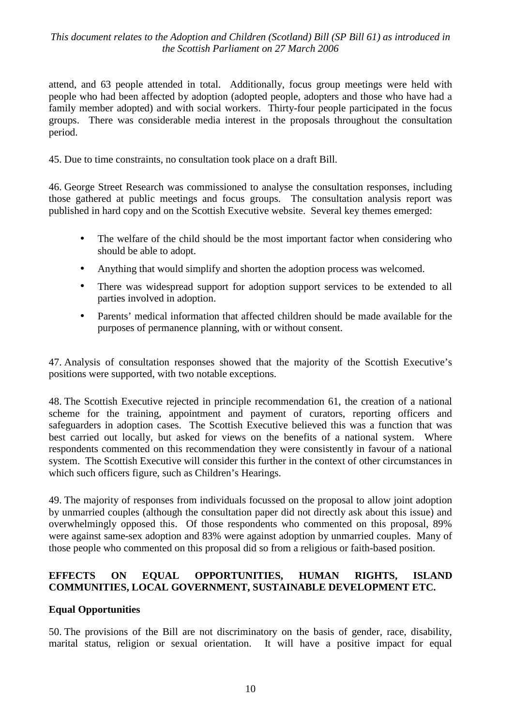attend, and 63 people attended in total. Additionally, focus group meetings were held with people who had been affected by adoption (adopted people, adopters and those who have had a family member adopted) and with social workers. Thirty-four people participated in the focus groups. There was considerable media interest in the proposals throughout the consultation period.

45. Due to time constraints, no consultation took place on a draft Bill.

46. George Street Research was commissioned to analyse the consultation responses, including those gathered at public meetings and focus groups. The consultation analysis report was published in hard copy and on the Scottish Executive website. Several key themes emerged:

- $\bullet$ The welfare of the child should be the most important factor when considering who should be able to adopt.
- $\bullet$ Anything that would simplify and shorten the adoption process was welcomed.
- There was widespread support for adoption support services to be extended to all parties involved in adoption.
- Parents' medical information that affected children should be made available for the  $\bullet$ purposes of permanence planning, with or without consent.

47. Analysis of consultation responses showed that the majority of the Scottish Executive's positions were supported, with two notable exceptions.

48. The Scottish Executive rejected in principle recommendation 61, the creation of a national scheme for the training, appointment and payment of curators, reporting officers and safeguarders in adoption cases. The Scottish Executive believed this was a function that was best carried out locally, but asked for views on the benefits of a national system. Where respondents commented on this recommendation they were consistently in favour of a national system. The Scottish Executive will consider this further in the context of other circumstances in which such officers figure, such as Children's Hearings.

49. The majority of responses from individuals focussed on the proposal to allow joint adoption by unmarried couples (although the consultation paper did not directly ask about this issue) and overwhelmingly opposed this. Of those respondents who commented on this proposal, 89% were against same-sex adoption and 83% were against adoption by unmarried couples. Many of those people who commented on this proposal did so from a religious or faith-based position.

#### **OPPORTUNITIES. EFFECTS**  $ON$ **EOUAL HUMAN** RIGHTS. **ISLAND** COMMUNITIES, LOCAL GOVERNMENT, SUSTAINABLE DEVELOPMENT ETC.

#### **Equal Opportunities**

50. The provisions of the Bill are not discriminatory on the basis of gender, race, disability, marital status, religion or sexual orientation. It will have a positive impact for equal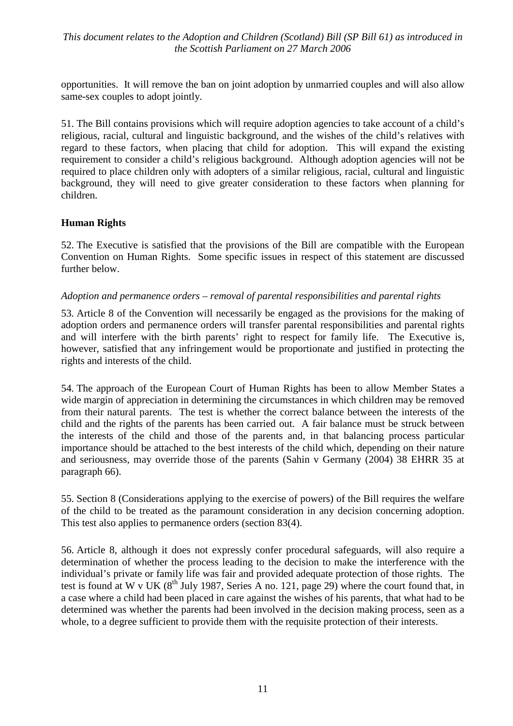opportunities. It will remove the ban on joint adoption by unmarried couples and will also allow same-sex couples to adopt jointly.

51. The Bill contains provisions which will require adoption agencies to take account of a child's religious, racial, cultural and linguistic background, and the wishes of the child's relatives with regard to these factors, when placing that child for adoption. This will expand the existing requirement to consider a child's religious background. Although adoption agencies will not be required to place children only with adopters of a similar religious, racial, cultural and linguistic background, they will need to give greater consideration to these factors when planning for children.

#### **Human Rights**

52. The Executive is satisfied that the provisions of the Bill are compatible with the European Convention on Human Rights. Some specific issues in respect of this statement are discussed further below.

#### Adoption and permanence orders – removal of parental responsibilities and parental rights

53. Article 8 of the Convention will necessarily be engaged as the provisions for the making of adoption orders and permanence orders will transfer parental responsibilities and parental rights and will interfere with the birth parents' right to respect for family life. The Executive is, however, satisfied that any infringement would be proportionate and justified in protecting the rights and interests of the child.

54. The approach of the European Court of Human Rights has been to allow Member States a wide margin of appreciation in determining the circumstances in which children may be removed from their natural parents. The test is whether the correct balance between the interests of the child and the rights of the parents has been carried out. A fair balance must be struck between the interests of the child and those of the parents and, in that balancing process particular importance should be attached to the best interests of the child which, depending on their nature and seriousness, may override those of the parents (Sahin v Germany (2004) 38 EHRR 35 at paragraph 66).

55. Section 8 (Considerations applying to the exercise of powers) of the Bill requires the welfare of the child to be treated as the paramount consideration in any decision concerning adoption. This test also applies to permanence orders (section 83(4).

56. Article 8, although it does not expressly confer procedural safeguards, will also require a determination of whether the process leading to the decision to make the interference with the individual's private or family life was fair and provided adequate protection of those rights. The test is found at W v UK  $(8^{th}$  July 1987, Series A no. 121, page 29) where the court found that, in a case where a child had been placed in care against the wishes of his parents, that what had to be determined was whether the parents had been involved in the decision making process, seen as a whole, to a degree sufficient to provide them with the requisite protection of their interests.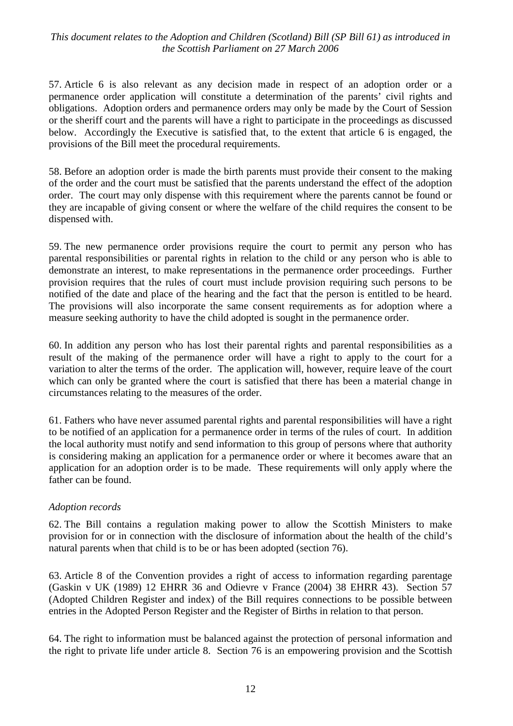57. Article 6 is also relevant as any decision made in respect of an adoption order or a permanence order application will constitute a determination of the parents' civil rights and obligations. Adoption orders and permanence orders may only be made by the Court of Session or the sheriff court and the parents will have a right to participate in the proceedings as discussed below. Accordingly the Executive is satisfied that, to the extent that article 6 is engaged, the provisions of the Bill meet the procedural requirements.

58. Before an adoption order is made the birth parents must provide their consent to the making of the order and the court must be satisfied that the parents understand the effect of the adoption order. The court may only dispense with this requirement where the parents cannot be found or they are incapable of giving consent or where the welfare of the child requires the consent to be dispensed with.

59. The new permanence order provisions require the court to permit any person who has parental responsibilities or parental rights in relation to the child or any person who is able to demonstrate an interest, to make representations in the permanence order proceedings. Further provision requires that the rules of court must include provision requiring such persons to be notified of the date and place of the hearing and the fact that the person is entitled to be heard. The provisions will also incorporate the same consent requirements as for adoption where a measure seeking authority to have the child adopted is sought in the permanence order.

60. In addition any person who has lost their parental rights and parental responsibilities as a result of the making of the permanence order will have a right to apply to the court for a variation to alter the terms of the order. The application will, however, require leave of the court which can only be granted where the court is satisfied that there has been a material change in circumstances relating to the measures of the order.

61. Fathers who have never assumed parental rights and parental responsibilities will have a right to be notified of an application for a permanence order in terms of the rules of court. In addition the local authority must notify and send information to this group of persons where that authority is considering making an application for a permanence order or where it becomes aware that an application for an adoption order is to be made. These requirements will only apply where the father can be found

#### **Adoption records**

62. The Bill contains a regulation making power to allow the Scottish Ministers to make provision for or in connection with the disclosure of information about the health of the child's natural parents when that child is to be or has been adopted (section 76).

63. Article 8 of the Convention provides a right of access to information regarding parentage (Gaskin v UK (1989) 12 EHRR 36 and Odievre v France (2004) 38 EHRR 43). Section 57 (Adopted Children Register and index) of the Bill requires connections to be possible between entries in the Adopted Person Register and the Register of Births in relation to that person.

64. The right to information must be balanced against the protection of personal information and the right to private life under article 8. Section 76 is an empowering provision and the Scottish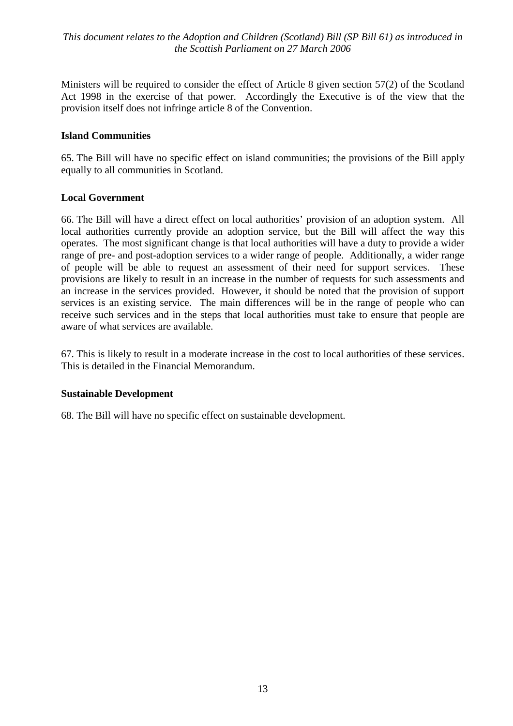Ministers will be required to consider the effect of Article 8 given section 57(2) of the Scotland Act 1998 in the exercise of that power. Accordingly the Executive is of the view that the provision itself does not infringe article 8 of the Convention.

#### **Island Communities**

65. The Bill will have no specific effect on island communities; the provisions of the Bill apply equally to all communities in Scotland.

#### **Local Government**

66. The Bill will have a direct effect on local authorities' provision of an adoption system. All local authorities currently provide an adoption service, but the Bill will affect the way this operates. The most significant change is that local authorities will have a duty to provide a wider range of pre- and post-adoption services to a wider range of people. Additionally, a wider range of people will be able to request an assessment of their need for support services. These provisions are likely to result in an increase in the number of requests for such assessments and an increase in the services provided. However, it should be noted that the provision of support services is an existing service. The main differences will be in the range of people who can receive such services and in the steps that local authorities must take to ensure that people are aware of what services are available.

67. This is likely to result in a moderate increase in the cost to local authorities of these services. This is detailed in the Financial Memorandum

#### **Sustainable Development**

68. The Bill will have no specific effect on sustainable development.